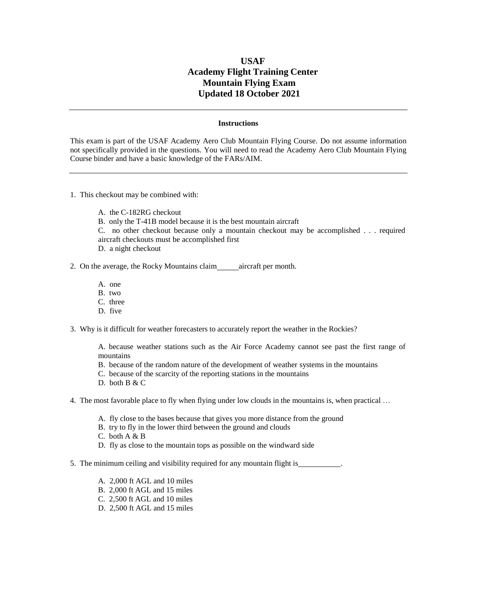## **USAF Academy Flight Training Center Mountain Flying Exam Updated 18 October 2021**

## **Instructions**

This exam is part of the USAF Academy Aero Club Mountain Flying Course. Do not assume information not specifically provided in the questions. You will need to read the Academy Aero Club Mountain Flying Course binder and have a basic knowledge of the FARs/AIM.

- 1. This checkout may be combined with:
	- A. the C-182RG checkout
	- B. only the T-41B model because it is the best mountain aircraft
	- C. no other checkout because only a mountain checkout may be accomplished . . . required aircraft checkouts must be accomplished first
	- D. a night checkout
- 2. On the average, the Rocky Mountains claim aircraft per month.
	- A. one
	- B. two
	- C. three
	- D. five
- 3. Why is it difficult for weather forecasters to accurately report the weather in the Rockies?

A. because weather stations such as the Air Force Academy cannot see past the first range of mountains

- B. because of the random nature of the development of weather systems in the mountains
- C. because of the scarcity of the reporting stations in the mountains
- D. both B & C
- 4. The most favorable place to fly when flying under low clouds in the mountains is, when practical …
	- A. fly close to the bases because that gives you more distance from the ground
	- B. try to fly in the lower third between the ground and clouds
	- C. both A & B
	- D. fly as close to the mountain tops as possible on the windward side
- 5. The minimum ceiling and visibility required for any mountain flight is .
	- A. 2,000 ft AGL and 10 miles
	- B. 2,000 ft AGL and 15 miles
	- C. 2,500 ft AGL and 10 miles
	- D. 2,500 ft AGL and 15 miles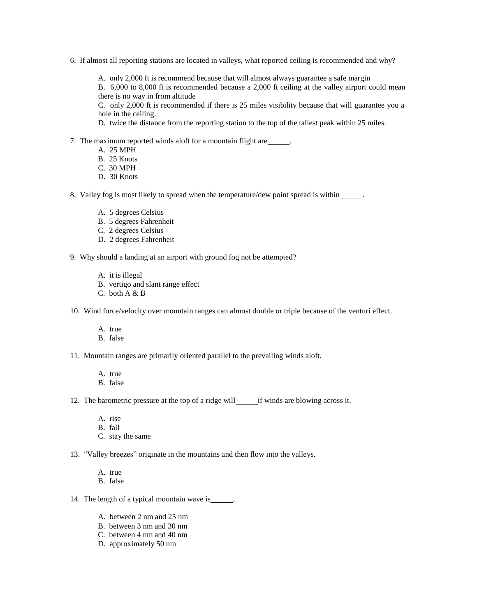6. If almost all reporting stations are located in valleys, what reported ceiling is recommended and why?

A. only 2,000 ft is recommend because that will almost always guarantee a safe margin

B. 6,000 to 8,000 ft is recommended because a 2,000 ft ceiling at the valley airport could mean there is no way in from altitude

C. only 2,000 ft is recommended if there is 25 miles visibility because that will guarantee you a hole in the ceiling.

D. twice the distance from the reporting station to the top of the tallest peak within 25 miles.

- 7. The maximum reported winds aloft for a mountain flight are \_\_\_\_\_\_.
	- A. 25 MPH
	- B. 25 Knots
	- C. 30 MPH
	- D. 30 Knots

8. Valley fog is most likely to spread when the temperature/dew point spread is within .

- A. 5 degrees Celsius
- B. 5 degrees Fahrenheit
- C. 2 degrees Celsius
- D. 2 degrees Fahrenheit
- 9. Why should a landing at an airport with ground fog not be attempted?
	- A. it is illegal
	- B. vertigo and slant range effect
	- C. both A & B
- 10. Wind force/velocity over mountain ranges can almost double or triple because of the venturi effect.
	- A. true
	- B. false
- 11. Mountain ranges are primarily oriented parallel to the prevailing winds aloft.
	- A. true
	- B. false
- 12. The barometric pressure at the top of a ridge will if winds are blowing across it.
	- A. rise
	- B. fall
	- C. stay the same
- 13. "Valley breezes" originate in the mountains and then flow into the valleys.
	- A. true
	- B. false
- 14. The length of a typical mountain wave is \_\_\_\_\_.
	- A. between 2 nm and 25 nm
	- B. between 3 nm and 30 nm
	- C. between 4 nm and 40 nm
	- D. approximately 50 nm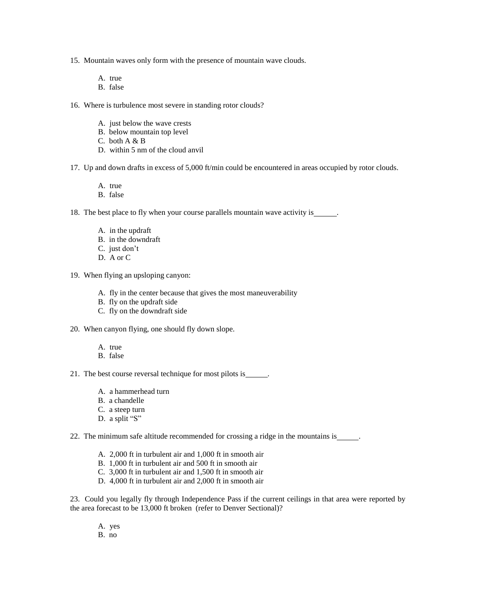- 15. Mountain waves only form with the presence of mountain wave clouds.
	- A. true
	- B. false
- 16. Where is turbulence most severe in standing rotor clouds?
	- A. just below the wave crests
	- B. below mountain top level
	- C. both A & B
	- D. within 5 nm of the cloud anvil
- 17. Up and down drafts in excess of 5,000 ft/min could be encountered in areas occupied by rotor clouds.
	- A. true
	- B. false
- 18. The best place to fly when your course parallels mountain wave activity is \_\_\_\_\_\_.
	- A. in the updraft
	- B. in the downdraft
	- C. just don't
	- D. A or C
- 19. When flying an upsloping canyon:
	- A. fly in the center because that gives the most maneuverability
	- B. fly on the updraft side
	- C. fly on the downdraft side
- 20. When canyon flying, one should fly down slope.
	- A. true
	- B. false
- 21. The best course reversal technique for most pilots is .
	- A. a hammerhead turn
	- B. a chandelle
	- C. a steep turn
	- D. a split "S"
- 22. The minimum safe altitude recommended for crossing a ridge in the mountains is .
	- A. 2,000 ft in turbulent air and 1,000 ft in smooth air
	- B. 1,000 ft in turbulent air and 500 ft in smooth air
	- C. 3,000 ft in turbulent air and 1,500 ft in smooth air
	- D. 4,000 ft in turbulent air and 2,000 ft in smooth air

23. Could you legally fly through Independence Pass if the current ceilings in that area were reported by the area forecast to be 13,000 ft broken (refer to Denver Sectional)?

- A. yes
- B. no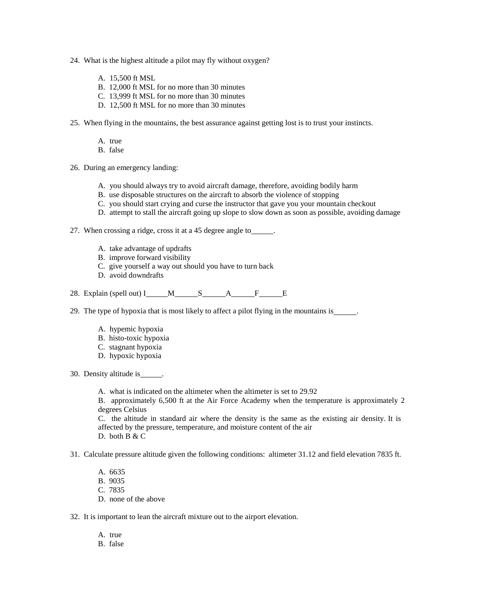- 24. What is the highest altitude a pilot may fly without oxygen?
	- A. 15,500 ft MSL
	- B. 12,000 ft MSL for no more than 30 minutes
	- C. 13,999 ft MSL for no more than 30 minutes
	- D. 12,500 ft MSL for no more than 30 minutes
- 25. When flying in the mountains, the best assurance against getting lost is to trust your instincts.
	- A. true
	- B. false
- 26. During an emergency landing:
	- A. you should always try to avoid aircraft damage, therefore, avoiding bodily harm
	- B. use disposable structures on the aircraft to absorb the violence of stopping
	- C. you should start crying and curse the instructor that gave you your mountain checkout
	- D. attempt to stall the aircraft going up slope to slow down as soon as possible, avoiding damage
- 27. When crossing a ridge, cross it at a 45 degree angle to \_\_\_\_\_\_.
	- A. take advantage of updrafts
	- B. improve forward visibility
	- C. give yourself a way out should you have to turn back
	- D. avoid downdrafts
- 28. Explain (spell out) I  $M$  S A F E
- 29. The type of hypoxia that is most likely to affect a pilot flying in the mountains is \_\_\_\_\_.
	- A. hypemic hypoxia
	- B. histo-toxic hypoxia
	- C. stagnant hypoxia
	- D. hypoxic hypoxia
- 30. Density altitude is  $\qquad \qquad$ .
	- A. what is indicated on the altimeter when the altimeter is set to 29.92

B. approximately 6,500 ft at the Air Force Academy when the temperature is approximately 2 degrees Celsius

C. the altitude in standard air where the density is the same as the existing air density. It is affected by the pressure, temperature, and moisture content of the air D. both B & C

- 31. Calculate pressure altitude given the following conditions: altimeter 31.12 and field elevation 7835 ft.
	- A. 6635 B. 9035 C. 7835 D. none of the above
- 32. It is important to lean the aircraft mixture out to the airport elevation.
	- A. true
	- B. false